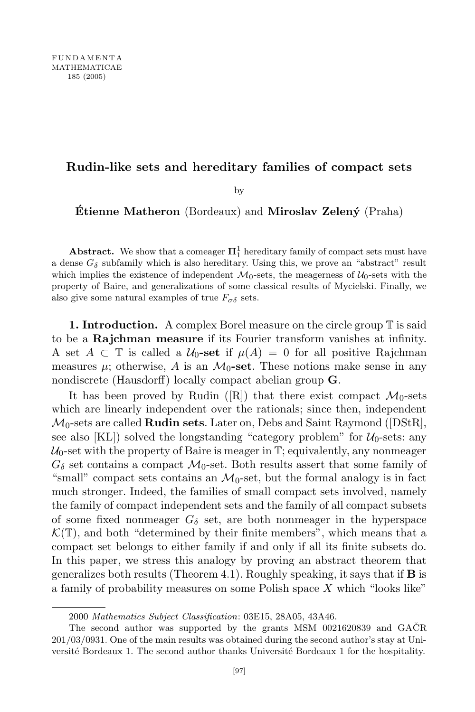## **Rudin-like sets and hereditary families of compact sets**

by

**Etienne Matheron** (Bordeaux) and **Miroslav Zelený** (Praha)

**Abstract.** We show that a comeager  $\Pi_1^1$  hereditary family of compact sets must have a dense  $G_{\delta}$  subfamily which is also hereditary. Using this, we prove an "abstract" result which implies the existence of independent  $\mathcal{M}_0$ -sets, the meagerness of  $\mathcal{U}_0$ -sets with the property of Baire, and generalizations of some classical results of Mycielski. Finally, we also give some natural examples of true  $F_{\sigma\delta}$  sets.

**1. Introduction.** A complex Borel measure on the circle group T is said to be a **Rajchman measure** if its Fourier transform vanishes at infinity. A set  $A \subset \mathbb{T}$  is called a  $\mathcal{U}_0$ -set if  $\mu(A) = 0$  for all positive Rajchman measures  $\mu$ ; otherwise, A is an  $\mathcal{M}_0$ **-set**. These notions make sense in any nondiscrete (Hausdorff) locally compact abelian group **G**.

It has been proved by Rudin ([R]) that there exist compact  $\mathcal{M}_0$ -sets which are linearly independent over the rationals; since then, independent *M*0-sets are called **Rudin sets**. Later on, Debs and Saint Raymond ([DStR], see also [KL]) solved the longstanding "category problem" for  $U_0$ -sets: any  $\mathcal{U}_0$ -set with the property of Baire is meager in  $\mathbb{T}$ ; equivalently, any nonmeager  $G_{\delta}$  set contains a compact  $\mathcal{M}_{0}$ -set. Both results assert that some family of "small" compact sets contains an  $\mathcal{M}_0$ -set, but the formal analogy is in fact much stronger. Indeed, the families of small compact sets involved, namely the family of compact independent sets and the family of all compact subsets of some fixed nonmeager  $G_{\delta}$  set, are both nonmeager in the hyperspace  $\mathcal{K}(\mathbb{T})$ , and both "determined by their finite members", which means that a compact set belongs to either family if and only if all its finite subsets do. In this paper, we stress this analogy by proving an abstract theorem that generalizes both results (Theorem 4.1). Roughly speaking, it says that if **B** is a family of probability measures on some Polish space *X* which "looks like"

<sup>2000</sup> *Mathematics Subject Classification*: 03E15, 28A05, 43A46.

The second author was supported by the grants MSM  $0021620839$  and  $GACR$ 201/03/0931. One of the main results was obtained during the second author's stay at Université Bordeaux 1. The second author thanks Université Bordeaux 1 for the hospitality.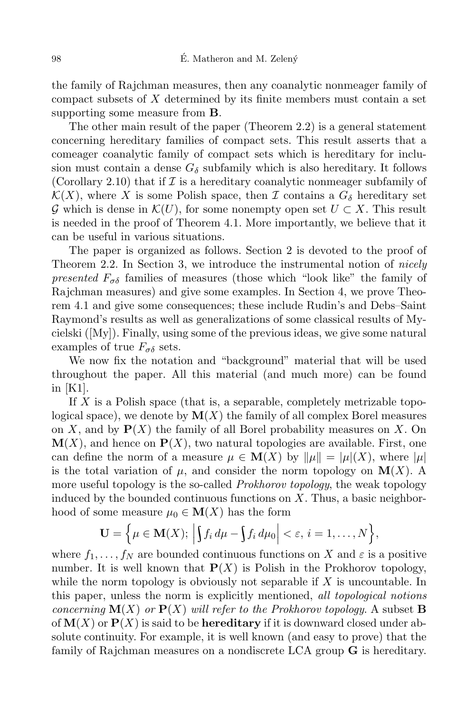the family of Rajchman measures, then any coanalytic nonmeager family of compact subsets of *X* determined by its finite members must contain a set supporting some measure from **B**.

The other main result of the paper (Theorem 2.2) is a general statement concerning hereditary families of compact sets. This result asserts that a comeager coanalytic family of compact sets which is hereditary for inclusion must contain a dense  $G_{\delta}$  subfamily which is also hereditary. It follows (Corollary 2.10) that if  $\mathcal I$  is a hereditary coanalytic nonmeager subfamily of  $\mathcal{K}(X)$ , where *X* is some Polish space, then *I* contains a  $G_{\delta}$  hereditary set *G* which is dense in  $\mathcal{K}(U)$ , for some nonempty open set  $U \subset X$ . This result is needed in the proof of Theorem 4.1. More importantly, we believe that it can be useful in various situations.

The paper is organized as follows. Section 2 is devoted to the proof of Theorem 2.2. In Section 3, we introduce the instrumental notion of *nicely presented*  $F_{\sigma\delta}$  families of measures (those which "look like" the family of Rajchman measures) and give some examples. In Section 4, we prove Theorem 4.1 and give some consequences; these include Rudin's and Debs–Saint Raymond's results as well as generalizations of some classical results of Mycielski ([My]). Finally, using some of the previous ideas, we give some natural examples of true  $F_{\sigma\delta}$  sets.

We now fix the notation and "background" material that will be used throughout the paper. All this material (and much more) can be found in [K1].

If *X* is a Polish space (that is, a separable, completely metrizable topological space), we denote by  $\mathbf{M}(X)$  the family of all complex Borel measures on *X*, and by **P**(*X*) the family of all Borel probability measures on *X*. On  $\mathbf{M}(X)$ , and hence on  $\mathbf{P}(X)$ , two natural topologies are available. First, one can define the norm of a measure  $\mu \in M(X)$  by  $\|\mu\| = |\mu|(X)$ , where  $|\mu|$ is the total variation of  $\mu$ , and consider the norm topology on  $\mathbf{M}(X)$ . A more useful topology is the so-called *Prokhorov topology*, the weak topology induced by the bounded continuous functions on *X*. Thus, a basic neighborhood of some measure  $\mu_0 \in M(X)$  has the form

$$
\mathbf{U} = \Big\{ \mu \in \mathbf{M}(X); \, \Big| \int f_i \, d\mu - \int f_i \, d\mu_0 \Big| < \varepsilon, \, i = 1, \dots, N \Big\},
$$

where  $f_1, \ldots, f_N$  are bounded continuous functions on *X* and  $\varepsilon$  is a positive number. It is well known that  $P(X)$  is Polish in the Prokhorov topology, while the norm topology is obviously not separable if *X* is uncountable. In this paper, unless the norm is explicitly mentioned, *all topological notions concerning*  $\mathbf{M}(X)$  *or*  $\mathbf{P}(X)$  *will refer to the Prokhorov topology.* A subset **B** of **M**(*X*) or **P**(*X*) is said to be **hereditary** if it is downward closed under absolute continuity. For example, it is well known (and easy to prove) that the family of Rajchman measures on a nondiscrete LCA group **G** is hereditary.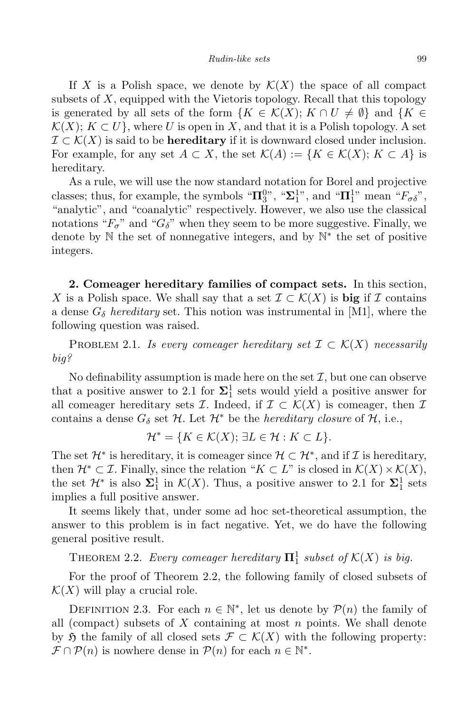If *X* is a Polish space, we denote by  $\mathcal{K}(X)$  the space of all compact subsets of *X*, equipped with the Vietoris topology. Recall that this topology is generated by all sets of the form  ${K \in \mathcal{K}(X); K \cap U \neq \emptyset}$  and  ${K \in \mathcal{K}(X)}$  $\mathcal{K}(X)$ ;  $K \subset U$ }, where *U* is open in *X*, and that it is a Polish topology. A set *I ⊂ K*(*X*) is said to be **hereditary** if it is downward closed under inclusion. For example, for any set  $A \subset X$ , the set  $\mathcal{K}(A) := \{K \in \mathcal{K}(X); K \subset A\}$  is hereditary.

As a rule, we will use the now standard notation for Borel and projective classes; thus, for example, the symbols " $\Pi_3^{0}$ ", " $\Sigma_1^{1}$ ", and " $\Pi_1^{1}$ " mean " $F_{\sigma\delta}$ ", "analytic", and "coanalytic" respectively. However, we also use the classical notations " $F_{\sigma}$ " and " $G_{\delta}$ " when they seem to be more suggestive. Finally, we denote by N the set of nonnegative integers, and by N *∗* the set of positive integers.

**2. Comeager hereditary families of compact sets.** In this section, *X* is a Polish space. We shall say that a set  $\mathcal{I} \subset \mathcal{K}(X)$  is big if  $\mathcal I$  contains a dense  $G_{\delta}$  *hereditary* set. This notion was instrumental in [M1], where the following question was raised.

PROBLEM 2.1. *Is every comeager hereditary set*  $\mathcal{I} \subset \mathcal{K}(X)$  *necessarily big?*

No definability assumption is made here on the set  $I$ , but one can observe that a positive answer to 2.1 for  $\Sigma_1^1$  sets would yield a positive answer for all comeager hereditary sets *I*. Indeed, if  $\mathcal{I} \subset \mathcal{K}(X)$  is comeager, then *I* contains a dense  $G_{\delta}$  set  $H$ . Let  $\mathcal{H}^*$  be the *hereditary closure* of  $H$ , i.e.,

$$
\mathcal{H}^* = \{ K \in \mathcal{K}(X); \, \exists L \in \mathcal{H} : K \subset L \}.
$$

The set  $\mathcal{H}^*$  is hereditary, it is comeager since  $\mathcal{H} \subset \mathcal{H}^*$ , and if  $\mathcal{I}$  is hereditary, then  $\mathcal{H}^* \subset \mathcal{I}$ . Finally, since the relation " $K \subset L$ " is closed in  $\mathcal{K}(X) \times \mathcal{K}(X)$ , the set  $\mathcal{H}^*$  is also  $\Sigma_1^1$  in  $\mathcal{K}(X)$ . Thus, a positive answer to 2.1 for  $\Sigma_1^1$  sets implies a full positive answer.

It seems likely that, under some ad hoc set-theoretical assumption, the answer to this problem is in fact negative. Yet, we do have the following general positive result.

THEOREM 2.2. *Every comeager hereditary*  $\Pi_1^1$  *subset of*  $K(X)$  *is big.* 

For the proof of Theorem 2.2, the following family of closed subsets of  $\mathcal{K}(X)$  will play a crucial role.

DEFINITION 2.3. For each  $n \in \mathbb{N}^*$ , let us denote by  $\mathcal{P}(n)$  the family of all (compact) subsets of *X* containing at most *n* points. We shall denote by  $\mathfrak{H}$  the family of all closed sets  $\mathcal{F} \subset \mathcal{K}(X)$  with the following property:  $\mathcal{F} \cap \mathcal{P}(n)$  is nowhere dense in  $\mathcal{P}(n)$  for each  $n \in \mathbb{N}^*$ .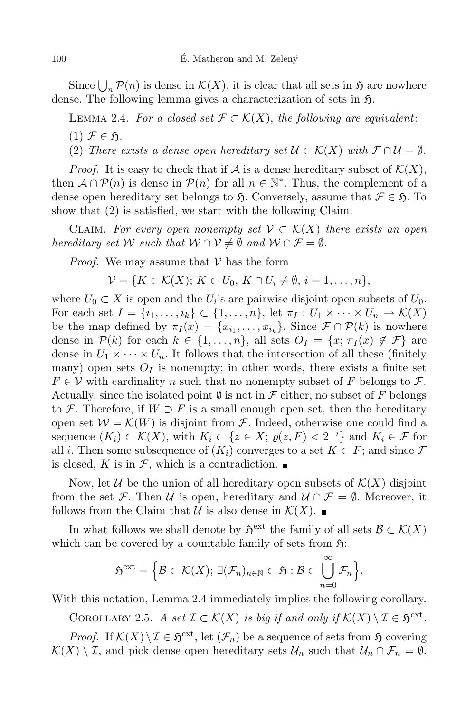Since  $\bigcup_n \mathcal{P}(n)$  is dense in  $\mathcal{K}(X)$ , it is clear that all sets in  $\mathfrak{H}$  are nowhere dense. The following lemma gives a characterization of sets in  $\mathfrak{H}$ .

LEMMA 2.4. *For a closed set*  $\mathcal{F} \subset \mathcal{K}(X)$ , *the following are equivalent:*  $(1)$   $\mathcal{F} \in \mathfrak{H}$ .

(2) *There exists* a *dense open hereditary set*  $\mathcal{U} \subset \mathcal{K}(X)$  *with*  $\mathcal{F} \cap \mathcal{U} = \emptyset$ *.* 

*Proof.* It is easy to check that if  $A$  is a dense hereditary subset of  $K(X)$ , then  $\mathcal{A} \cap \mathcal{P}(n)$  is dense in  $\mathcal{P}(n)$  for all  $n \in \mathbb{N}^*$ . Thus, the complement of a dense open hereditary set belongs to  $\mathfrak{H}$ . Conversely, assume that  $\mathcal{F} \in \mathfrak{H}$ . To show that (2) is satisfied, we start with the following Claim.

CLAIM. For every open nonempty set  $V \subset K(X)$  there exists an open *hereditary set*  $W$  *such that*  $W \cap V \neq \emptyset$  *and*  $W \cap F = \emptyset$ *.* 

*Proof.* We may assume that *V* has the form

$$
\mathcal{V} = \{K \in \mathcal{K}(X); K \subset U_0, K \cap U_i \neq \emptyset, i = 1, \ldots, n\},\
$$

where  $U_0 \subset X$  is open and the  $U_i$ 's are pairwise disjoint open subsets of  $U_0$ . For each set  $I = \{i_1, \ldots, i_k\} \subset \{1, \ldots, n\}$ , let  $\pi_I : U_1 \times \cdots \times U_n \to \mathcal{K}(X)$ be the map defined by  $\pi_I(x) = \{x_{i_1}, \ldots, x_{i_k}\}\.$  Since  $\mathcal{F} \cap \mathcal{P}(k)$  is nowhere dense in  $P(k)$  for each  $k \in \{1, \ldots, n\}$ , all sets  $O_I = \{x; \pi_I(x) \notin \mathcal{F}\}\$ are dense in  $U_1 \times \cdots \times U_n$ . It follows that the intersection of all these (finitely many) open sets  $O_I$  is nonempty; in other words, there exists a finite set  $F \in V$  with cardinality *n* such that no nonempty subset of *F* belongs to *F*. Actually, since the isolated point *∅* is not in *F* either, no subset of *F* belongs to *F*. Therefore, if  $W \supset F$  is a small enough open set, then the hereditary open set  $W = \mathcal{K}(W)$  is disjoint from  $\mathcal{F}$ . Indeed, otherwise one could find a sequence  $(K_i) \subset \mathcal{K}(X)$ , with  $K_i \subset \{z \in X; \varrho(z, F) < 2^{-i}\}\$  and  $K_i \in \mathcal{F}$  for all *i*. Then some subsequence of  $(K_i)$  converges to a set  $K \subset F$ ; and since  $\mathcal F$ is closed, *K* is in  $\mathcal{F}$ , which is a contradiction.

Now, let *U* be the union of all hereditary open subsets of  $\mathcal{K}(X)$  disjoint from the set *F*. Then *U* is open, hereditary and  $U \cap F = \emptyset$ . Moreover, it follows from the Claim that *U* is also dense in  $\mathcal{K}(X)$ .

In what follows we shall denote by  $\mathfrak{H}^{\text{ext}}$  the family of all sets  $\mathcal{B} \subset \mathcal{K}(X)$ which can be covered by a countable family of sets from  $\mathfrak{H}$ :

$$
\mathfrak{H}^{\text{ext}}=\Big\{\mathcal{B}\subset \mathcal{K}(X);\ \exists (\mathcal{F}_n)_{n\in\mathbb{N}}\subset \mathfrak{H}:\mathcal{B}\subset\bigcup_{n=0}^\infty \mathcal{F}_n\Big\}.
$$

With this notation, Lemma 2.4 immediately implies the following corollary.

COROLLARY 2.5. *A* set  $\mathcal{I} \subset \mathcal{K}(X)$  is big if and only if  $\mathcal{K}(X) \setminus \mathcal{I} \in \mathfrak{H}^{\text{ext}}$ .

*Proof.* If  $K(X) \setminus I \in \mathfrak{H}^{\text{ext}}$ , let  $(\mathcal{F}_n)$  be a sequence of sets from  $\mathfrak{H}$  covering  $K(X) \setminus I$ , and pick dense open hereditary sets  $\mathcal{U}_n$  such that  $\mathcal{U}_n \cap \mathcal{F}_n = \emptyset$ .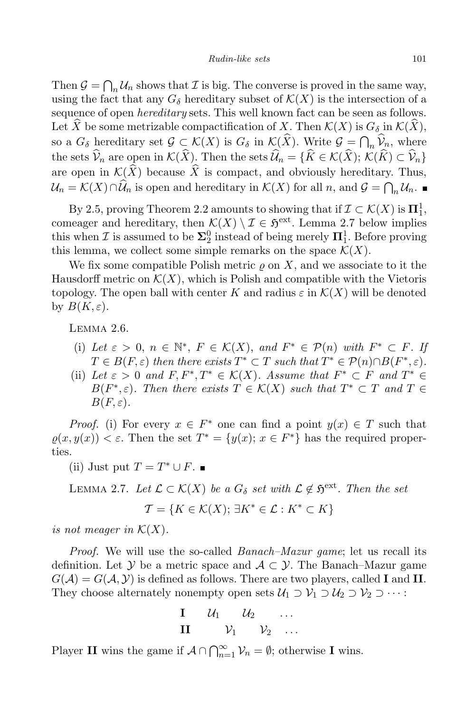Then  $\mathcal{G} = \bigcap_n \mathcal{U}_n$  shows that *I* is big. The converse is proved in the same way, using the fact that any  $G_{\delta}$  hereditary subset of  $\mathcal{K}(X)$  is the intersection of a sequence of open *hereditary* sets. This well known fact can be seen as follows. Let  $\hat{X}$  be some metrizable compactification of *X*. Then  $\mathcal{K}(X)$  is  $G_{\delta}$  in  $\mathcal{K}(X)$ , so a  $G_{\delta}$  hereditary set  $\mathcal{G} \subset \mathcal{K}(X)$  is  $G_{\delta}$  in  $\mathcal{K}(\hat{X})$ . Write  $\mathcal{G} = \bigcap_n \hat{\mathcal{V}}_n$ , where the sets  $\widehat{\mathcal{V}}_n$  are open in  $\mathcal{K}(\widehat{X})$ . Then the sets  $\widehat{\mathcal{U}}_n = \{\widehat{K} \in \mathcal{K}(\widehat{X}); \,\mathcal{K}(\widehat{K}) \subset \widehat{\mathcal{V}}_n\}$ are open in  $\mathcal{K}(\widehat{X})$  because  $\widehat{X}$  is compact, and obviously hereditary. Thus,  $\mathcal{U}_n = \mathcal{K}(X) \cap \mathcal{U}_n$  is open and hereditary in  $\mathcal{K}(X)$  for all *n*, and  $\mathcal{G} = \bigcap_n \mathcal{U}_n$ .

By 2.5, proving Theorem 2.2 amounts to showing that if  $\mathcal{I} \subset \mathcal{K}(X)$  is  $\Pi_1^1$ , comeager and hereditary, then  $\mathcal{K}(X) \setminus \mathcal{I} \in \mathfrak{H}^{\text{ext}}$ . Lemma 2.7 below implies this when *I* is assumed to be  $\Sigma_2^0$  instead of being merely  $\Pi_1^1$ . Before proving this lemma, we collect some simple remarks on the space  $\mathcal{K}(X)$ .

We fix some compatible Polish metric  $\rho$  on X, and we associate to it the Hausdorff metric on  $\mathcal{K}(X)$ , which is Polish and compatible with the Vietoris topology. The open ball with center *K* and radius  $\varepsilon$  in  $\mathcal{K}(X)$  will be denoted by  $B(K,\varepsilon)$ .

Lemma 2.6.

- (i) Let  $\varepsilon > 0$ ,  $n \in \mathbb{N}^*$ ,  $F \in \mathcal{K}(X)$ , and  $F^* \in \mathcal{P}(n)$  with  $F^* \subset F$ . If  $T \in B(F, \varepsilon)$  then there exists  $T^* \subset T$  such that  $T^* \in \mathcal{P}(n) \cap B(F^*, \varepsilon)$ .
- (ii) Let  $\varepsilon > 0$  and  $F, F^*, T^* \in \mathcal{K}(X)$ . Assume that  $F^* \subset F$  and  $T^* \in$  $B(F^*, \varepsilon)$ *. Then there exists*  $T \in K(X)$  *such that*  $T^* \subset T$  *and*  $T \in$  $B(F,\varepsilon)$ .

*Proof.* (i) For every  $x \in F^*$  one can find a point  $y(x) \in T$  such that  $\varrho(x, y(x)) < \varepsilon$ . Then the set  $T^* = \{y(x); x \in F^*\}$  has the required properties.

(ii) Just put  $T = T^* \cup F$ .

*LEMMA* 2.7. *Let*  $\mathcal{L} \subset \mathcal{K}(X)$  *be a G*<sup>*δ*</sup> *set with*  $\mathcal{L} \notin \mathfrak{H}^{\text{ext}}$ *. Then the set* 

$$
\mathcal{T} = \{ K \in \mathcal{K}(X); \, \exists K^* \in \mathcal{L} : K^* \subset K \}
$$

*is not meager in*  $K(X)$ .

*Proof.* We will use the so-called *Banach–Mazur game*; let us recall its definition. Let *Y* be a metric space and  $A \subset Y$ . The Banach–Mazur game  $G(A) = G(A, Y)$  is defined as follows. There are two players, called **I** and **II**. They choose alternately nonempty open sets  $U_1 \supset V_1 \supset U_2 \supset V_2 \supset \cdots$ 

$$
\mathbf{I} \qquad \mathcal{U}_1 \qquad \mathcal{U}_2 \qquad \ldots
$$

$$
\mathbf{II} \qquad \mathcal{V}_1 \qquad \mathcal{V}_2 \qquad \ldots
$$

Player **II** wins the game if  $A \cap \bigcap_{n=1}^{\infty} V_n = \emptyset$ ; otherwise **I** wins.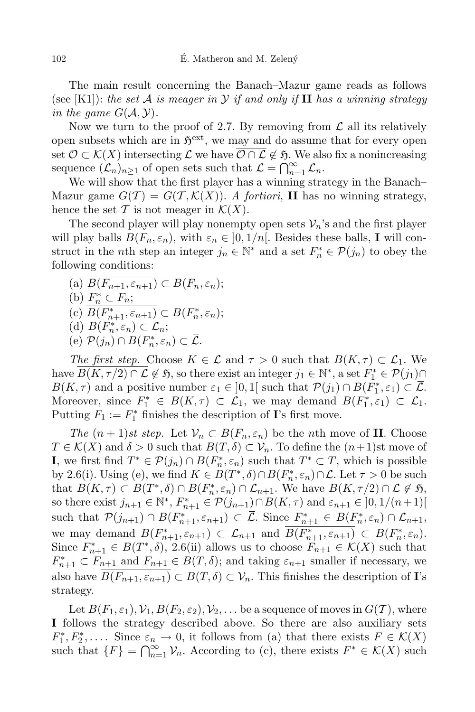The main result concerning the Banach–Mazur game reads as follows (see [K1]): *the set*  $\mathcal A$  *is meager in*  $\mathcal Y$  *if and only if*  $\mathbf H$  *has a winning strategy in the game*  $G(A, Y)$ *.* 

Now we turn to the proof of 2.7. By removing from  $\mathcal L$  all its relatively open subsets which are in  $\mathfrak{H}^{\text{ext}}$ , we may and do assume that for every open set  $\mathcal{O} \subset \mathcal{K}(X)$  intersecting  $\mathcal{L}$  we have  $\overline{\mathcal{O} \cap \mathcal{L}} \notin \mathfrak{H}$ . We also fix a nonincreasing sequence  $(\mathcal{L}_n)_{n\geq 1}$  of open sets such that  $\mathcal{L} = \bigcap_{n=1}^{\infty} \mathcal{L}_n$ .

We will show that the first player has a winning strategy in the Banach– Mazur game  $G(\mathcal{T}) = G(\mathcal{T}, \mathcal{K}(X))$ . A *fortiori*, **II** has no winning strategy, hence the set  $\mathcal T$  is not meager in  $\mathcal K(X)$ .

The second player will play nonempty open sets  $V_n$ 's and the first player will play balls  $B(F_n, \varepsilon_n)$ , with  $\varepsilon_n \in [0, 1/n]$ . Besides these balls, **I** will construct in the *n*th step an integer  $j_n \in \mathbb{N}^*$  and a set  $F_n^* \in \mathcal{P}(j_n)$  to obey the following conditions:

- $(B(F_{n+1}, \varepsilon_{n+1}) \subset B(F_n, \varepsilon_n);$
- (b)  $F_n^* \subset F_n$ ;
- $(C)$   $B(F_{n+1}^*, \varepsilon_{n+1}) \subset B(F_n^*, \varepsilon_n);$
- $(B(F_n^*, \varepsilon_n) \subset \mathcal{L}_n;$
- $(P)$   $\mathcal{P}(j_n) \cap B(F_n^*, \varepsilon_n) \subset \mathcal{L}.$

*The first step.* Choose  $K \in \mathcal{L}$  and  $\tau > 0$  such that  $B(K, \tau) \subset \mathcal{L}_1$ . We  $\Lambda$  *n*  $\mathcal{L} \notin \mathfrak{H}$ , so there exist an integer  $j_1 \in \mathbb{N}^*$ , a set  $F_1^* \in \mathcal{P}(j_1)$ *B*(*K,*  $\tau$ ) and a positive number  $\varepsilon_1 \in ]0,1[$  such that  $\mathcal{P}(j_1) \cap B(F_1^*, \varepsilon_1) \subset \mathcal{L}$ . Moreover, since  $F_1^* \in B(K, \tau) \subset \mathcal{L}_1$ , we may demand  $B(F_1^*, \varepsilon_1) \subset \mathcal{L}_1$ . Putting  $F_1 := F_1^*$  finishes the description of **I**'s first move.

*The*  $(n+1)$ *st step.* Let  $V_n \subset B(F_n, \varepsilon_n)$  be the *n*th move of **II**. Choose *T*  $\in K(X)$  and  $\delta > 0$  such that  $B(T, \delta) \subset V_n$ . To define the  $(n+1)$ st move of **I**, we first find  $T^*$  ∈  $P(j_n) ∩ B(F_n^*, \varepsilon_n)$  such that  $T^* ⊂ T$ , which is possible by 2.6(i). Using (e), we find  $K \in B(T^*, \delta) \cap B(F_n^*, \varepsilon_n) \cap \mathcal{L}$ . Let  $\tau > 0$  be such that  $B(K,\tau) \subset B(T^*,\delta) \cap B(F_n^*,\varepsilon_n) \cap \mathcal{L}_{n+1}$ . We have  $B(K,\tau/2) \cap \mathcal{L} \notin \mathfrak{H}$ , so there exist  $j_{n+1} \in \mathbb{N}^*, F_{n+1}^* \in \mathcal{P}(j_{n+1}) \cap B(K, \tau)$  and  $\varepsilon_{n+1} \in ]0, 1/(n+1)[$ such that  $\mathcal{P}(j_{n+1}) \cap B(F_{n+1}^*, \varepsilon_{n+1}) \subset \mathcal{L}$ . Since  $F_{n+1}^* \in B(F_n^*, \varepsilon_n) \cap \mathcal{L}_{n+1}$ , we may demand  $B(F_{n+1}^*, \varepsilon_{n+1}) \subset \mathcal{L}_{n+1}$  and  $B(F_{n+1}^*, \varepsilon_{n+1}) \subset B(F_n^*, \varepsilon_n)$ . Since  $F_{n+1}^* \in B(T^*, \delta)$ , 2.6(ii) allows us to choose  $F_{n+1} \in \mathcal{K}(X)$  such that  $F_{n+1}^* \subset F_{n+1}$  and  $F_{n+1} \in B(T, \delta)$ ; and taking  $\varepsilon_{n+1}$  smaller if necessary, we also have  $\overline{B(F_{n+1}, \varepsilon_{n+1})} \subset B(T, \delta) \subset V_n$ . This finishes the description of **I**'s strategy.

Let  $B(F_1, \varepsilon_1), \mathcal{V}_1, B(F_2, \varepsilon_2), \mathcal{V}_2, \ldots$  be a sequence of moves in  $G(\mathcal{T})$ , where **I** follows the strategy described above. So there are also auxiliary sets  $F_1^*, F_2^*, \ldots$  Since  $\varepsilon_n \to 0$ , it follows from (a) that there exists  $F \in \mathcal{K}(X)$ such that  ${F}$  =  $\bigcap_{n=1}^{\infty}$  *V<sub>n</sub>*. According to (c), there exists  $F^* \in \mathcal{K}(X)$  such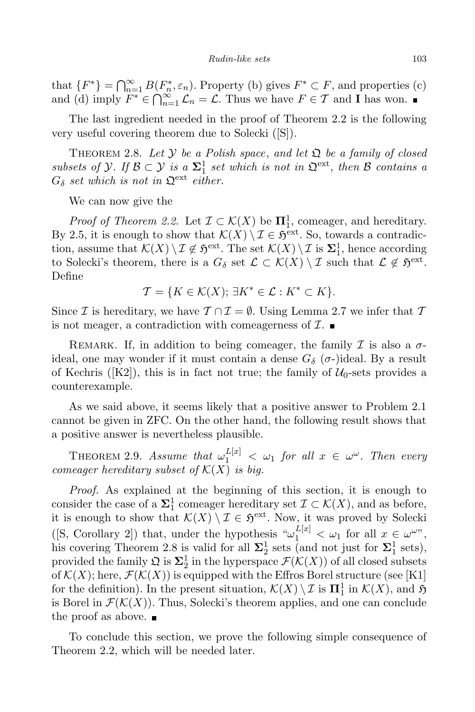that  ${F^*}$  =  $\bigcap_{n=1}^{\infty} B(F_n^*, \varepsilon_n)$ . Property (b) gives  $F^* \subset F$ , and properties (c) and (d) imply  $F^* \in \bigcap_{n=1}^{\infty} \mathcal{L}_n = \mathcal{L}$ . Thus we have  $F \in \mathcal{T}$  and **I** has won.

The last ingredient needed in the proof of Theorem 2.2 is the following very useful covering theorem due to Solecki ([S]).

THEOREM 2.8. Let  $Y$  be a Polish space, and let  $\Omega$  be a family of closed *subsets of*  $\mathcal{Y}$ *. If*  $\mathcal{B} \subset \mathcal{Y}$  *is a*  $\Sigma_1^1$  *set which is not in*  $\mathcal{Q}^{\text{ext}}$ *, then*  $\mathcal{B}$  *contains a*  $G_{\delta}$  *set which is not in*  $\mathfrak{Q}^{\text{ext}}$  *either.* 

We can now give the

*Proof of Theorem 2.2.* Let  $\mathcal{I} \subset \mathcal{K}(X)$  be  $\Pi^1_1$ , comeager, and hereditary. By 2.5, it is enough to show that  $\mathcal{K}(X) \setminus \mathcal{I} \in \mathfrak{H}^{\text{ext}}$ . So, towards a contradiction, assume that  $\mathcal{K}(X) \setminus \mathcal{I} \notin \mathfrak{H}^{\text{ext}}$ . The set  $\mathcal{K}(X) \setminus \mathcal{I}$  is  $\Sigma_1^1$ , hence according to Solecki's theorem, there is a  $G_{\delta}$  set  $\mathcal{L} \subset \mathcal{K}(X) \setminus \mathcal{I}$  such that  $\mathcal{L} \notin \mathfrak{H}^{\text{ext}}$ . Define

$$
\mathcal{T} = \{ K \in \mathcal{K}(X); \, \exists K^* \in \mathcal{L} : K^* \subset K \}.
$$

Since *I* is hereditary, we have  $T \cap T = \emptyset$ . Using Lemma 2.7 we infer that  $T$ is not meager, a contradiction with comeagerness of *I*.

REMARK. If, in addition to being comeager, the family  $\mathcal I$  is also a  $\sigma$ ideal, one may wonder if it must contain a dense  $G_{\delta}$  ( $\sigma$ -)ideal. By a result of Kechris ( $[K2]$ ), this is in fact not true; the family of  $U_0$ -sets provides a counterexample.

As we said above, it seems likely that a positive answer to Problem 2.1 cannot be given in ZFC. On the other hand, the following result shows that a positive answer is nevertheless plausible.

THEOREM 2.9. *Assume that*  $\omega_1^{L[x]} < \omega_1$  *for all*  $x \in \omega^\omega$ . Then every *comeager hereditary subset of*  $K(X)$  *is big.* 

*Proof.* As explained at the beginning of this section, it is enough to consider the case of a  $\Sigma^1$  comeager hereditary set  $\mathcal{I} \subset \mathcal{K}(X)$ , and as before, it is enough to show that  $\mathcal{K}(X) \setminus \mathcal{I} \in \mathfrak{H}^{\text{ext}}$ . Now, it was proved by Solecki  $([S, Corollary 2])$  that, under the hypothesis " $\omega_1^{L[x]} < \omega_1$  for all  $x \in \omega^{\omega}$ ", his covering Theorem 2.8 is valid for all  $\Sigma_2^1$  sets (and not just for  $\Sigma_1^1$  sets), provided the family  $\mathfrak{Q}$  is  $\Sigma_2^1$  in the hyperspace  $\mathcal{F}(\mathcal{K}(X))$  of all closed subsets of  $\mathcal{K}(X)$ ; here,  $\mathcal{F}(\mathcal{K}(X))$  is equipped with the Effros Borel structure (see [K1]) for the definition). In the present situation,  $\mathcal{K}(X) \setminus \mathcal{I}$  is  $\Pi_1^1$  in  $\mathcal{K}(X)$ , and  $\mathfrak{H}$ is Borel in  $\mathcal{F}(\mathcal{K}(X))$ . Thus, Solecki's theorem applies, and one can conclude the proof as above.  $\blacksquare$ 

To conclude this section, we prove the following simple consequence of Theorem 2.2, which will be needed later.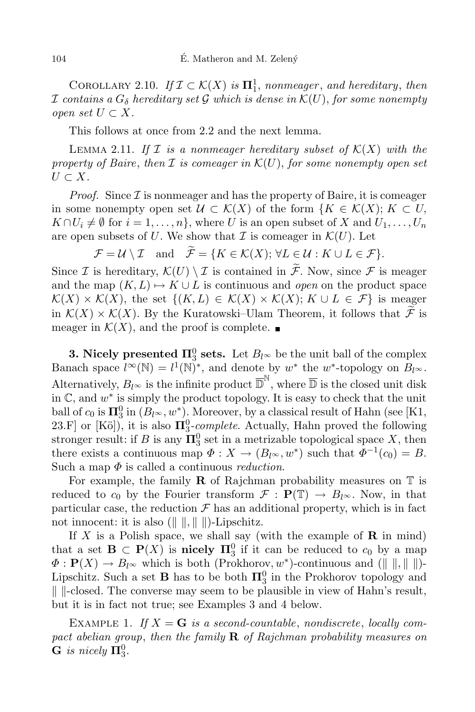COROLLARY 2.10. *If*  $\mathcal{I} \subset \mathcal{K}(X)$  *is*  $\Pi_1^1$ *, nonmeager, and hereditary, then*  $\mathcal I$  *contains*  $a G_\delta$  *hereditary set*  $\mathcal G$  *which is dense in*  $\mathcal K(U)$ *, for some nonempty open set*  $U \subset X$ *.* 

This follows at once from 2.2 and the next lemma.

LEMMA 2.11. If  $I$  *is a nonmeager hereditary subset of*  $K(X)$  *with the property of Baire*, *then*  $I$  *is comeager in*  $K(U)$ *, for some nonempty open set*  $U$  ⊂  $X$ *.* 

*Proof.* Since  $I$  is nonmeager and has the property of Baire, it is comeager in some nonempty open set  $\mathcal{U} \subset \mathcal{K}(X)$  of the form  $\{K \in \mathcal{K}(X); K \subset U,$  $K \cap U_i \neq \emptyset$  for  $i = 1, ..., n$ , where U is an open subset of X and  $U_1, ..., U_n$ are open subsets of *U*. We show that  $\mathcal I$  is comeager in  $\mathcal K(U)$ . Let

 $\mathcal{F} = \mathcal{U} \setminus \mathcal{I}$  and  $\widetilde{\mathcal{F}} = \{K \in \mathcal{K}(X): \forall L \in \mathcal{U} : K \cup L \in \mathcal{F}\}.$ 

Since *I* is hereditary,  $\mathcal{K}(U) \setminus I$  is contained in  $\widetilde{\mathcal{F}}$ . Now, since *F* is meager and the map  $(K, L) \mapsto K \cup L$  is continuous and *open* on the product space  $\mathcal{K}(X) \times \mathcal{K}(X)$ , the set  $\{(K, L) \in \mathcal{K}(X) \times \mathcal{K}(X); K \cup L \in \mathcal{F}\}\$ is meager in  $K(X) \times K(X)$ . By the Kuratowski–Ulam Theorem, it follows that  $\widetilde{\mathcal{F}}$  is meager in  $\mathcal{K}(X)$ , and the proof is complete.

**3. Nicely presented**  $\Pi_3^0$  **sets.** Let  $B_l \infty$  be the unit ball of the complex Banach space  $l^{\infty}(\mathbb{N}) = l^{1}(\mathbb{N})^{*}$ , and denote by  $w^{*}$  the  $w^{*}$ -topology on  $B_{l^{\infty}}$ . Alternatively,  $B_{l^{\infty}}$  is the infinite product  $\overline{\mathbb{D}}^{\mathbb{N}}$ , where  $\overline{\mathbb{D}}$  is the closed unit disk in C, and *w ∗* is simply the product topology. It is easy to check that the unit ball of  $c_0$  is  $\mathbf{\Pi}^0_3$  in  $(B_{l^{\infty}}, w^*)$ . Moreover, by a classical result of Hahn (see [K1, 23.F] or  $[K\ddot{o}]$ , it is also  $\Pi_3^0$ -*complete*. Actually, Hahn proved the following stronger result: if *B* is any  $\Pi_3^0$  set in a metrizable topological space *X*, then there exists a continuous map  $\Phi: X \to (B_{l^{\infty}}, w^*)$  such that  $\Phi^{-1}(c_0) = B$ . Such a map *Φ* is called a continuous *reduction*.

For example, the family **R** of Rajchman probability measures on  $\mathbb{T}$  is reduced to  $c_0$  by the Fourier transform  $\mathcal{F}: \mathbf{P}(\mathbb{T}) \to B_{l^{\infty}}$ . Now, in that particular case, the reduction  $\mathcal F$  has an additional property, which is in fact not innocent: it is also  $(\Vert \cdot \Vert, \Vert \cdot \Vert)$ -Lipschitz.

If *X* is a Polish space, we shall say (with the example of **R** in mind) that a set  $\mathbf{B} \subset \mathbf{P}(X)$  is **nicely**  $\mathbf{\Pi}^0_3$  if it can be reduced to  $c_0$  by a map  $\Phi$  :  $\mathbf{P}(X) \to B_{l^{\infty}}$  which is both (Prokhorov,  $w^*$ )-continuous and ( $\| \cdot \|, \|$ )-Lipschitz. Such a set **B** has to be both  $\Pi_3^0$  in the Prokhorov topology and *k k*-closed. The converse may seem to be plausible in view of Hahn's result, but it is in fact not true; see Examples 3 and 4 below.

EXAMPLE 1. If  $X = G$  is a second-countable, nondiscrete, locally com*pact abelian group*, *then the family* **R** *of Rajchman probability measures on*  $\mathbf{G}$  *is nicely*  $\mathbf{\Pi}^0_3$ .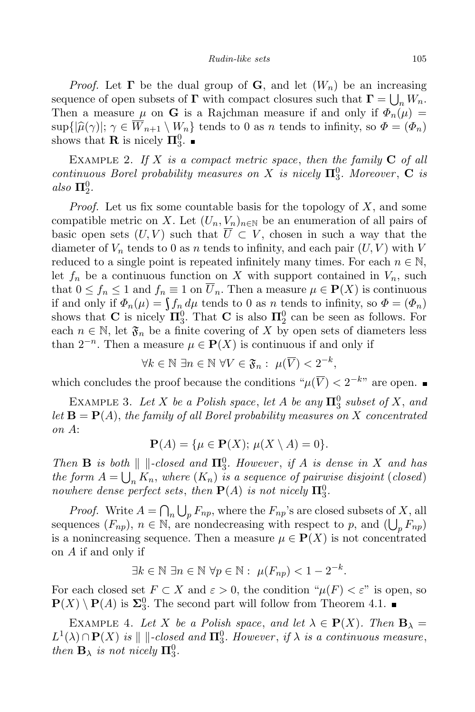*Proof.* Let **Γ** be the dual group of **G**, and let  $(W_n)$  be an increasing sequence of open subsets of **Γ** with compact closures such that  $\mathbf{\Gamma} = \bigcup_n W_n$ . Then a measure  $\mu$  on **G** is a Rajchman measure if and only if  $\Phi_n(\mu)$  $\sup\{|\hat{\mu}(\gamma)|; \gamma \in \overline{W}_{n+1} \setminus W_n\}$  tends to 0 as *n* tends to infinity, so  $\Phi = (\Phi_n)$ shows that **R** is nicely  $\Pi_3^0$ .

Example 2. *If X is a compact metric space*, *then the family* **C** *of all continuous Borel probability measures on X is nicely*  $\Pi_3^0$ *. Moreover*, **C** *is*  $also \mathbf{\Pi}^0_2.$ 

*Proof.* Let us fix some countable basis for the topology of *X*, and some compatible metric on *X*. Let  $(U_n, V_n)_{n \in \mathbb{N}}$  be an enumeration of all pairs of basic open sets  $(U, V)$  such that  $\overline{U} \subset V$ , chosen in such a way that the diameter of  $V_n$  tends to 0 as *n* tends to infinity, and each pair  $(U, V)$  with  $V$ reduced to a single point is repeated infinitely many times. For each  $n \in \mathbb{N}$ , let  $f_n$  be a continuous function on X with support contained in  $V_n$ , such that  $0 \le f_n \le 1$  and  $f_n \equiv 1$  on  $\overline{U}_n$ . Then a measure  $\mu \in \mathbf{P}(X)$  is continuous if and only if  $\Phi_n(\mu) = \int f_n d\mu$  tends to 0 as *n* tends to infinity, so  $\Phi = (\Phi_n)$ shows that **C** is nicely  $\Pi_3^0$ . That **C** is also  $\Pi_2^0$  can be seen as follows. For each  $n \in \mathbb{N}$ , let  $\mathfrak{F}_n$  be a finite covering of X by open sets of diameters less than  $2^{-n}$ . Then a measure  $\mu \in \mathbf{P}(X)$  is continuous if and only if

*∀k*  $\in \mathbb{N}$   $\exists n \in \mathbb{N}$   $\forall V \in \mathfrak{F}_n : \mu(\overline{V}) < 2^{-k},$ 

which concludes the proof because the conditions  $\mu(\overline{V}) < 2^{-k}$  are open.

EXAMPLE 3. Let *X* be a Polish space, let *A* be any  $\Pi_3^0$  subset of *X*, and *let* **B** = **P**(*A*), *the family of all Borel probability measures on X concentrated on A*:

$$
\mathbf{P}(A) = \{ \mu \in \mathbf{P}(X); \, \mu(X \setminus A) = 0 \}.
$$

*Then* **B** *is both*  $\| \cdot \|$ -closed *and*  $\Pi_3^0$ . However, if *A is* dense *in X and has the form*  $A = \bigcup_n K_n$ , *where*  $(K_n)$  *is a sequence of pairwise disjoint* (*closed*) *nowhere dense perfect sets, then*  $P(A)$  *is not nicely*  $\Pi_3^0$ *.* 

*Proof.* Write  $A = \bigcap_n \bigcup_p F_{np}$ , where the  $F_{np}$ 's are closed subsets of *X*, all sequences  $(F_{np}), n \in \mathbb{N}$ , are nondecreasing with respect to *p*, and  $(\bigcup_p F_{np})$ is a nonincreasing sequence. Then a measure  $\mu \in \mathbf{P}(X)$  is not concentrated on *A* if and only if

$$
\exists k \in \mathbb{N} \; \exists n \in \mathbb{N} \; \forall p \in \mathbb{N} : \; \mu(F_{np}) < 1 - 2^{-k}.
$$

For each closed set  $F \subset X$  and  $\varepsilon > 0$ , the condition " $\mu(F) < \varepsilon$ " is open, so  $P(X) \setminus P(A)$  is  $\Sigma_3^0$ . The second part will follow from Theorem 4.1.

EXAMPLE 4. Let *X* be a Polish space, and let  $\lambda \in \mathbf{P}(X)$ . Then  $\mathbf{B}_{\lambda} =$  $L^1(\lambda) \cap \mathbf{P}(X)$  *is*  $\| \cdot \text{closed and } \mathbf{\Pi}^0_3$ *. However*, *if*  $\lambda$  *is a continuous measure*, *then*  $\mathbf{B}_{\lambda}$  *is not nicely*  $\mathbf{\Pi}_{3}^{0}$ *.*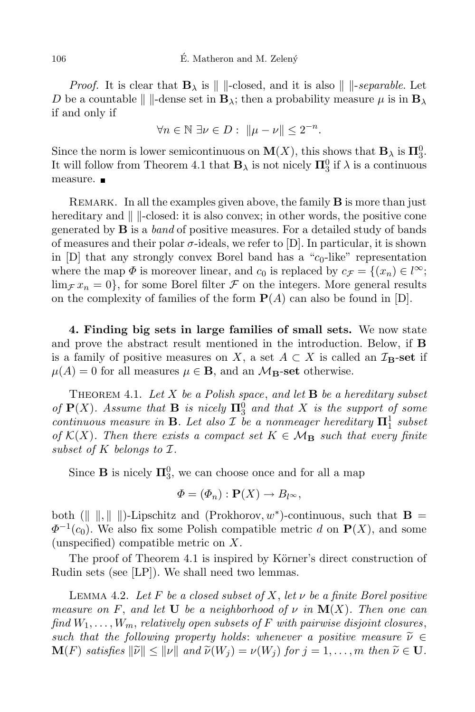*Proof.* It is clear that  $\mathbf{B}_{\lambda}$  is  $\|\cdot\|$ -closed, and it is also  $\|\cdot\|$ -separable. Let *D* be a countable  $\| \$ -dense set in  $\mathbf{B}_{\lambda}$ ; then a probability measure  $\mu$  is in  $\mathbf{B}_{\lambda}$ if and only if

$$
\forall n \in \mathbb{N} \; \exists \nu \in D: \; \|\mu - \nu\| \leq 2^{-n}.
$$

Since the norm is lower semicontinuous on  $\mathbf{M}(X)$ , this shows that  $\mathbf{B}_{\lambda}$  is  $\mathbf{\Pi}_{3}^{0}$ . It will follow from Theorem 4.1 that  $\mathbf{B}_{\lambda}$  is not nicely  $\mathbf{\Pi}_{3}^{0}$  if  $\lambda$  is a continuous measure. **■** 

REMARK. In all the examples given above, the family **B** is more than just hereditary and  $\| \cdot \|$ -closed: it is also convex; in other words, the positive cone generated by **B** is a *band* of positive measures. For a detailed study of bands of measures and their polar  $\sigma$ -ideals, we refer to [D]. In particular, it is shown in  $[D]$  that any strongly convex Borel band has a " $c_0$ -like" representation where the map  $\Phi$  is moreover linear, and  $c_0$  is replaced by  $c_{\mathcal{F}} = \{(x_n) \in l^{\infty};$  $\lim_{\mathcal{F}} x_n = 0$ , for some Borel filter *F* on the integers. More general results on the complexity of families of the form  $P(A)$  can also be found in [D].

**4. Finding big sets in large families of small sets.** We now state and prove the abstract result mentioned in the introduction. Below, if **B** is a family of positive measures on *X*, a set  $A \subset X$  is called an  $\mathcal{I}_B$ -set if  $\mu(A) = 0$  for all measures  $\mu \in \mathbf{B}$ , and an  $\mathcal{M}_{\mathbf{B}}$ -set otherwise.

Theorem 4.1. *Let X be a Polish space*, *and let* **B** *be a hereditary subset of*  $P(X)$ *. Assume that* **B** *is nicely*  $\Pi_3^0$  *and that X is the support of some continuous measure in* **B**. Let also *I be a nonmeager hereditary*  $\Pi_1^1$  *subset of*  $K(X)$ *. Then there exists a compact set*  $K \in M_B$  *such that every finite subset of K belongs to I.*

Since **B** is nicely  $\Pi_3^0$ , we can choose once and for all a map

$$
\Phi = (\Phi_n) : \mathbf{P}(X) \to B_{l^{\infty}},
$$

both  $(\| \| \| \|)$ -Lipschitz and (Prokhorov,  $w^*$ )-continuous, such that  $\mathbf{B} =$  $\Phi$ <sup>−1</sup>(*c*<sub>0</sub>). We also fix some Polish compatible metric *d* on **P**(*X*), and some (unspecified) compatible metric on *X*.

The proof of Theorem 4.1 is inspired by Körner's direct construction of Rudin sets (see [LP]). We shall need two lemmas.

Lemma 4.2. *Let F be a closed subset of X*, *let ν be a finite Borel positive measure on F*, *and let* **U** *be a neighborhood of ν in* **M**(*X*)*. Then one can find*  $W_1, \ldots, W_m$ , *relatively open subsets of*  $F$  *with pairwise disjoint closures*, *such that the following property holds: whenever a positive measure*  $\tilde{\nu} \in$  $\mathbf{M}(F)$  satisfies  $\|\tilde{\nu}\| \leq \|\nu\|$  and  $\tilde{\nu}(W_j) = \nu(W_j)$  for  $j = 1, ..., m$  then  $\tilde{\nu} \in \mathbf{U}$ .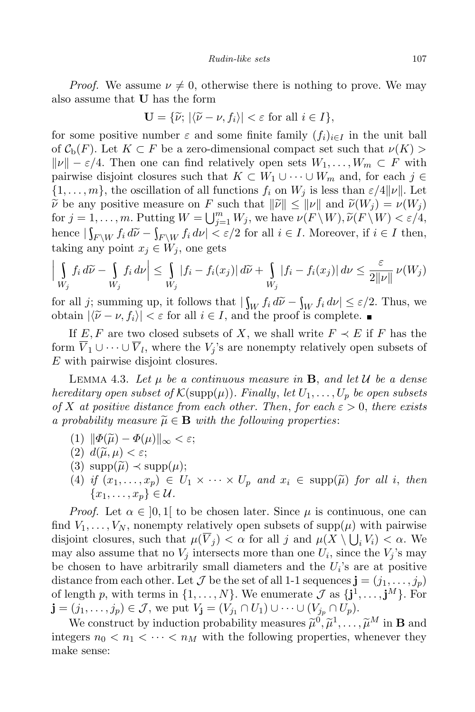*Proof.* We assume  $\nu \neq 0$ , otherwise there is nothing to prove. We may also assume that **U** has the form

$$
\mathbf{U} = \{ \widetilde{\nu}; \, |\langle \widetilde{\nu} - \nu, f_i \rangle| < \varepsilon \text{ for all } i \in I \},
$$

for some positive number  $\varepsilon$  and some finite family  $(f_i)_{i \in I}$  in the unit ball of  $\mathcal{C}_{\rm b}(F)$ . Let  $K \subset F$  be a zero-dimensional compact set such that  $\nu(K)$  $\|\nu\| - \varepsilon/4$ . Then one can find relatively open sets  $W_1, \ldots, W_m \subset F$  with pairwise disjoint closures such that  $K \subset W_1 \cup \cdots \cup W_m$  and, for each  $j \in$  $\{1, \ldots, m\}$ , the oscillation of all functions  $f_i$  on  $W_j$  is less than  $\varepsilon/4||\nu||$ . Let  $\widetilde{\nu}$  be any positive measure on *F* such that  $\|\widetilde{\nu}\| \leq \|\nu\|$  and  $\widetilde{\nu}(W_i) = \nu(W_i)$ for  $j = 1, ..., m$ . Putting  $W = \bigcup_{j=1}^{m} W_j$ , we have  $\nu(F \setminus W), \tilde{\nu}(F \setminus W) < \varepsilon/4$ , hence  $|\int_{F\backslash W} f_i d\tilde{\nu} - \int_{F\backslash W} f_i d\nu| < \varepsilon/2$  for all  $i \in I$ . Moreover, if  $i \in I$  then, taking any point  $x_j \in W_j$ , one gets

$$
\left| \int\limits_{W_j} f_i \, d\widetilde{\nu} - \int\limits_{W_j} f_i \, d\nu \right| \leq \int\limits_{W_j} |f_i - f_i(x_j)| \, d\widetilde{\nu} + \int\limits_{W_j} |f_i - f_i(x_j)| \, d\nu \leq \frac{\varepsilon}{2||\nu||} \nu(W_j)
$$

for all *j*; summing up, it follows that  $|\int_W f_i d\tilde{\nu} - \int_W f_i d\nu| \leq \varepsilon/2$ . Thus, we obtain  $|\tilde{\omega}| \leq \varepsilon$  for all  $i \in I$  and the proof is complete obtain  $|\langle \tilde{\nu} - \nu, f_i \rangle| < \varepsilon$  for all  $i \in I$ , and the proof is complete.

If  $E, F$  are two closed subsets of *X*, we shall write  $F \prec E$  if *F* has the form  $V_1 \cup \cdots \cup V_l$ , where the  $V_j$ 's are nonempty relatively open subsets of *E* with pairwise disjoint closures.

LEMMA 4.3. Let  $\mu$  be a continuous measure in **B**, and let  $\mathcal{U}$  be a dense *hereditary open subset of*  $\mathcal{K}(\text{supp}(\mu))$ *. Finally, let*  $U_1, \ldots, U_p$  *be open subsets of X at positive distance from each other. Then, for each*  $\varepsilon > 0$ *, there exists a probability measure*  $\widetilde{\mu} \in \mathbf{B}$  *with the following properties:* 

- $(1)$   $\|\Phi(\widetilde{\mu}) \Phi(\mu)\|_{\infty} < \varepsilon;$
- $(2)$   $d(\widetilde{\mu}, \mu) < \varepsilon$ ;
- $(3)$  supp $(\tilde{\mu}) \prec supp(\mu);$
- (4) if  $(x_1, \ldots, x_p) \in U_1 \times \cdots \times U_p$  and  $x_i \in \text{supp}(\widetilde{\mu})$  for all i, then  ${x_1, \ldots, x_n} \in \mathcal{U}$ .

*Proof.* Let  $\alpha \in [0,1]$  to be chosen later. Since  $\mu$  is continuous, one can find  $V_1, \ldots, V_N$ , nonempty relatively open subsets of supp $(\mu)$  with pairwise disjoint closures, such that  $\mu(\overline{V}_j) < \alpha$  for all *j* and  $\mu(X \setminus \bigcup_i V_i) < \alpha$ . We may also assume that no  $V_j$  intersects more than one  $U_i$ , since the  $V_j$ 's may be chosen to have arbitrarily small diameters and the  $U_i$ 's are at positive distance from each other. Let *J* be the set of all 1-1 sequences  $\mathbf{j} = (j_1, \ldots, j_p)$ of length *p*, with terms in  $\{1, \ldots, N\}$ . We enumerate  $\mathcal{J}$  as  $\{j^1, \ldots, j^M\}$ . For  $\mathbf{j} = (j_1, \ldots, j_p) \in \mathcal{J}$ , we put  $V_{\mathbf{j}} = (V_{j_1} \cap U_1) \cup \cdots \cup (V_{j_p} \cap U_p)$ .

We construct by induction probability measures  $\widetilde{\mu}^0, \widetilde{\mu}^1, \ldots, \widetilde{\mu}^M$  in **B** and integers  $n_0 < n_1 < \cdots < n_M$  with the following properties, whenever they make sense: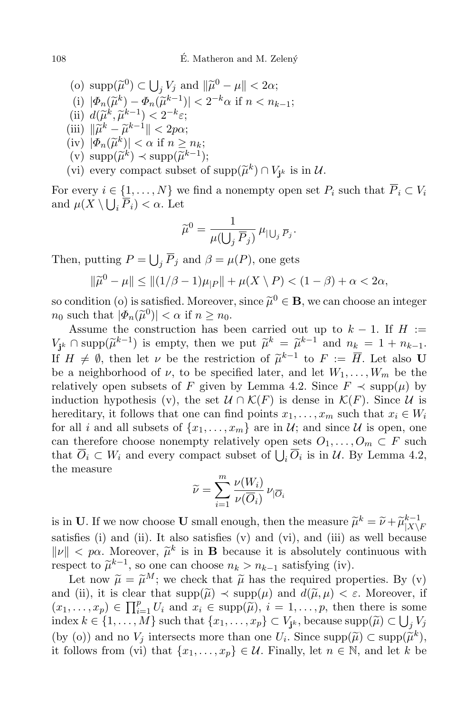$\left( \begin{array}{c} \text{(o) } \supp(\widetilde{\mu}^0) \subset \bigcup_j V_j \text{ and } ||\widetilde{\mu}^0 - \mu|| < 2\alpha; \end{array} \right)$ (i)  $|\Phi_n(\tilde{\mu}^k) - \Phi_n(\tilde{\mu}^{k-1})| < 2^{-k}\alpha$  if  $n < n_{k-1}$ ;<br>  $\therefore \quad \lim_{k \to \infty} \mathcal{L}(\tilde{\mu}^k) - \Phi_n(\tilde{\mu}^{k-1})| < 2^{-k}\alpha$  $\left(\begin{array}{c}\n\text{ii)} \ d(\widetilde{\mu}^k, \widetilde{\mu}^{k-1}) < 2^{-k}\varepsilon; \\
\text{iii)} \ \frac{n}{k} & \widetilde{\kappa}^{k-1} < 2n\end{array}\right.$  $\|\tilde{\mu}^k - \tilde{\mu}^{k-1}\| < 2p\alpha;$ <br>  $\lim_{k \to \infty} |\tilde{\mu}_k(\tilde{x}_k)| \leq \alpha$  if  $n > 1$  $|\Phi_n(\widetilde{\mu}^k)| < \alpha \text{ if } n \geq n_k;$ <br>  $\lim_{k \to \infty} |\widetilde{\mu}^k| < \lim_{k \to \infty} |\widetilde{\mu}^k|$  $(v) \sup_{x \in \mathbb{R}} (\widetilde{\mu}^k) \prec \sup_{x \in \mathbb{R}} (\widetilde{\mu}^{k-1});$ (vi) every compact subset of  $\text{supp}(\tilde{\mu}^k) \cap V_{\mathbf{j}^k}$  is in  $\mathcal{U}$ .

For every  $i \in \{1, \ldots, N\}$  we find a nonempty open set  $P_i$  such that  $\overline{P}_i \subset V_i$ and  $\mu(X \setminus \bigcup_i \overline{P}_i) < \alpha$ . Let

$$
\widetilde{\boldsymbol{\mu}}^0 = \frac{1}{\mu(\bigcup_j \overline{P}_j)} \, \mu_{|\bigcup_j \overline{P}_j}.
$$

Then, putting  $P = \bigcup_j \overline{P}_j$  and  $\beta = \mu(P)$ , one gets

$$
\|\tilde{\mu}^0 - \mu\| \le \| (1/\beta - 1)\mu_{|P} \| + \mu(X \setminus P) < (1 - \beta) + \alpha < 2\alpha,
$$

so condition (o) is satisfied. Moreover, since  $\tilde{\mu}^0 \in \mathbf{B}$ , we can choose an integer  $n_0$  such that  $|\Phi_n(\tilde{\mu}^0)| < \alpha$  if  $n \geq n_0$ .

Assume the construction has been carried out up to  $k-1$ . If  $H :=$ *V*<sub>j</sub><sub>k</sub> ∩ supp $(\widetilde{\mu}^{k-1})$  is empty, then we put  $\widetilde{\mu}^{k} = \widetilde{\mu}^{k-1}$  and  $n_k = 1 + n_{k-1}$ . If  $H \neq \emptyset$ , then let *v* be the restriction of  $\widetilde{\mu}^{k-1}$  to  $F := \overline{H}$ . Let also **U** be a neighborhood of  $\nu$ , to be specified later, and let  $W_1, \ldots, W_m$  be the relatively open subsets of *F* given by Lemma 4.2. Since  $F \prec \text{supp}(\mu)$  by induction hypothesis (v), the set  $\mathcal{U} \cap \mathcal{K}(F)$  is dense in  $\mathcal{K}(F)$ . Since  $\mathcal{U}$  is hereditary, it follows that one can find points  $x_1, \ldots, x_m$  such that  $x_i \in W_i$ for all *i* and all subsets of  $\{x_1, \ldots, x_m\}$  are in  $\mathcal{U}$ ; and since  $\mathcal{U}$  is open, one can therefore choose nonempty relatively open sets  $O_1, \ldots, O_m \subset F$  such that  $\overline{O}_i \subset W_i$  and every compact subset of  $\bigcup_i \overline{O}_i$  is in *U*. By Lemma 4.2, the measure

$$
\widetilde{\nu} = \sum_{i=1}^m \frac{\nu(W_i)}{\nu(\overline{O}_i)} \, \nu_{|\overline{O}_i}
$$

is in **U**. If we now choose **U** small enough, then the measure  $\tilde{\mu}^k = \tilde{\nu} + \tilde{\mu}_{|X|}^{k-1}$  $|X \backslash F$ satisfies (i) and (ii). It also satisfies  $(v)$  and  $(vi)$ , and  $(iii)$  as well because  $\|\nu\| < p\alpha$ . Moreover,  $\tilde{\mu}^k$  is in **B** because it is absolutely continuous with respect to  $\widetilde{\mu}^{k-1}$ , so one can choose  $n_k > n_{k-1}$  satisfying (iv).

Let now  $\tilde{\mu} = \tilde{\mu}^M$ ; we check that  $\tilde{\mu}$  has the required properties. By (v) and (ii), it is clear that  $\text{supp}(\tilde{\mu}) \prec \text{supp}(\mu)$  and  $d(\tilde{\mu}, \mu) < \varepsilon$ . Moreover, if  $(x_1, \ldots, x_p) \in \prod_{i=1}^p U_i$  and  $x_i \in \text{supp}(\tilde{\mu}), i = 1, \ldots, p$ , then there is some  $\text{supp}(\tilde{\mu}) = \prod_{i=1}^p U_i$ index  $k \in \{1, ..., M\}$  such that  $\{x_1, ..., x_p\} \subset V_{j^k}$ , because supp $(\widetilde{\mu}) \subset \bigcup_j V_j$ (by (o)) and no  $V_j$  intersects more than one  $U_i$ . Since  $\text{supp}(\widetilde{\mu}) \subset \text{supp}(\widetilde{\mu}^k)$ , it follows from (vi) that  $\{x_1, \ldots, x_p\} \in \mathcal{U}$ . Finally, let  $n \in \mathbb{N}$ , and let *k* be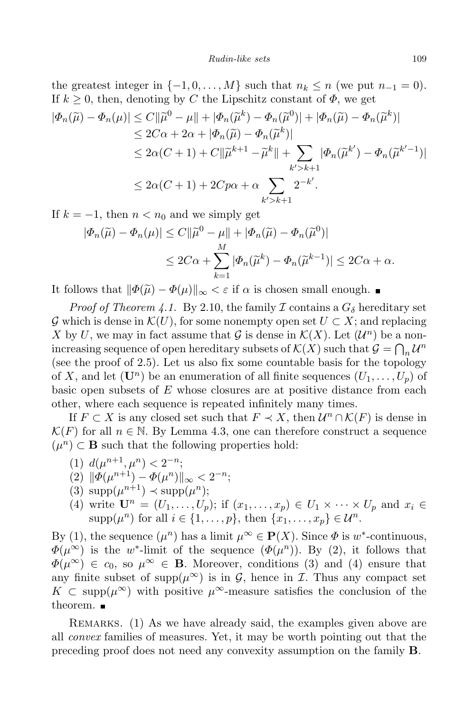### *Rudin-like sets* 109

the greatest integer in  $\{-1, 0, \ldots, M\}$  such that  $n_k \leq n$  (we put  $n_{-1} = 0$ ). If  $k \geq 0$ , then, denoting by *C* the Lipschitz constant of  $\Phi$ , we get

$$
|\Phi_n(\widetilde{\mu}) - \Phi_n(\mu)| \le C ||\widetilde{\mu}^0 - \mu|| + |\Phi_n(\widetilde{\mu}^k) - \Phi_n(\widetilde{\mu}^0)| + |\Phi_n(\widetilde{\mu}) - \Phi_n(\widetilde{\mu}^k)|
$$
  
\n
$$
\le 2C\alpha + 2\alpha + |\Phi_n(\widetilde{\mu}) - \Phi_n(\widetilde{\mu}^k)|
$$
  
\n
$$
\le 2\alpha(C + 1) + C ||\widetilde{\mu}^{k+1} - \widetilde{\mu}^k|| + \sum_{k' > k+1} |\Phi_n(\widetilde{\mu}^{k'}) - \Phi_n(\widetilde{\mu}^{k'-1})|
$$
  
\n
$$
\le 2\alpha(C + 1) + 2Cp\alpha + \alpha \sum_{k' > k+1} 2^{-k'}.
$$

If  $k = -1$ , then  $n < n_0$  and we simply get

$$
|\Phi_n(\widetilde{\mu}) - \Phi_n(\mu)| \le C ||\widetilde{\mu}^0 - \mu|| + |\Phi_n(\widetilde{\mu}) - \Phi_n(\widetilde{\mu}^0)|
$$
  

$$
\le 2C\alpha + \sum_{k=1}^M |\Phi_n(\widetilde{\mu}^k) - \Phi_n(\widetilde{\mu}^{k-1})| \le 2C\alpha + \alpha.
$$

It follows that  $\|\Phi(\tilde{\mu}) - \Phi(\mu)\|_{\infty} < \varepsilon$  if *α* is chosen small enough. ■

*Proof of Theorem 4.1.* By 2.10, the family *I* contains a  $G_{\delta}$  hereditary set *G* which is dense in  $K(U)$ , for some nonempty open set  $U \subset X$ ; and replacing *X* by *U*, we may in fact assume that *G* is dense in  $K(X)$ . Let  $(U^n)$  be a nonincreasing sequence of open hereditary subsets of  $\mathcal{K}(X)$  such that  $\mathcal{G} = \bigcap_n \mathcal{U}^n$ (see the proof of 2.5). Let us also fix some countable basis for the topology of *X*, and let  $(\mathbf{U}^n)$  be an enumeration of all finite sequences  $(U_1, \ldots, U_p)$  of basic open subsets of *E* whose closures are at positive distance from each other, where each sequence is repeated infinitely many times.

If *F* ⊂ *X* is any closed set such that  $F \prec X$ , then  $\mathcal{U}^n \cap \mathcal{K}(F)$  is dense in  $\mathcal{K}(F)$  for all  $n \in \mathbb{N}$ . By Lemma 4.3, one can therefore construct a sequence  $(\mu^n) \subset \mathbf{B}$  such that the following properties hold:

- $d(\mu^{n+1}, \mu^n) < 2^{-n};$
- $(2)$   $\|\Phi(\mu^{n+1}) \Phi(\mu^n)\|_{\infty} < 2^{-n};$
- (3)  $\text{supp}(\mu^{n+1}) \prec \text{supp}(\mu^n);$
- (4) write  $\mathbf{U}^n = (U_1, \ldots, U_p)$ ; if  $(x_1, \ldots, x_p) \in U_1 \times \cdots \times U_p$  and  $x_i \in$  $\text{supp}(\mu^n)$  for all  $i \in \{1, \ldots, p\}$ , then  $\{x_1, \ldots, x_p\} \in \mathcal{U}^n$ .

By (1), the sequence  $(\mu^n)$  has a limit  $\mu^\infty \in \mathbf{P}(X)$ . Since  $\Phi$  is  $w^*$ -continuous,  $\Phi(\mu^{\infty})$  is the *w*<sup>\*</sup>-limit of the sequence  $(\Phi(\mu^n))$ . By (2), it follows that  $\Phi(\mu^{\infty}) \in c_0$ , so  $\mu^{\infty} \in \mathbf{B}$ . Moreover, conditions (3) and (4) ensure that any finite subset of supp $(\mu^{\infty})$  is in *G*, hence in *I*. Thus any compact set *K* ⊂ supp $(\mu^{\infty})$  with positive  $\mu^{\infty}$ -measure satisfies the conclusion of the theorem. ■

REMARKS. (1) As we have already said, the examples given above are all *convex* families of measures. Yet, it may be worth pointing out that the preceding proof does not need any convexity assumption on the family **B**.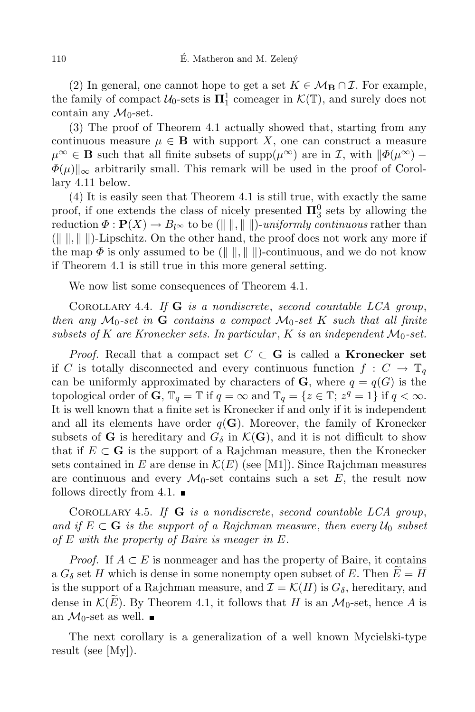(2) In general, one cannot hope to get a set  $K \in \mathcal{M}_{\mathbf{B}} \cap \mathcal{I}$ . For example, the family of compact  $U_0$ -sets is  $\Pi_1^1$  comeager in  $\mathcal{K}(\mathbb{T})$ , and surely does not contain any  $\mathcal{M}_0$ -set.

(3) The proof of Theorem 4.1 actually showed that, starting from any continuous measure  $\mu \in \mathbf{B}$  with support *X*, one can construct a measure  $\mu^{\infty} \in \mathbf{B}$  such that all finite subsets of supp $(\mu^{\infty})$  are in *I*, with  $\|\Phi(\mu^{\infty}) - \Phi(\mu^{\infty})\|$  $\Phi(\mu)$ <sub>||∞</sub> arbitrarily small. This remark will be used in the proof of Corollary 4.11 below.

(4) It is easily seen that Theorem 4.1 is still true, with exactly the same proof, if one extends the class of nicely presented  $\Pi_3^0$  sets by allowing the reduction  $\Phi : \mathbf{P}(X) \to B_{l^{\infty}}$  to be ( $\|\|\|\|\$ )-*uniformly continuous* rather than  $(\Vert \cdot \Vert, \Vert \cdot \Vert)$ -Lipschitz. On the other hand, the proof does not work any more if the map  $\Phi$  is only assumed to be  $(\Vert \cdot \Vert, \Vert \cdot \Vert)$ -continuous, and we do not know if Theorem 4.1 is still true in this more general setting.

We now list some consequences of Theorem 4.1.

Corollary 4.4. *If* **G** *is a nondiscrete*, *second countable LCA group*, *then any*  $M_0$ -set *in* **G** *contains a compact*  $M_0$ -set *K such that all finite subsets of*  $K$  *are Kronecker sets. In particular,*  $K$  *is an independent*  $M_0$ -set.

*Proof.* Recall that a compact set  $C \subset \mathbf{G}$  is called a **Kronecker** set if *C* is totally disconnected and every continuous function  $f: C \to \mathbb{T}_q$ can be uniformly approximated by characters of **G**, where  $q = q(G)$  is the topological order of **G**,  $\mathbb{T}_q = \mathbb{T}$  if  $q = \infty$  and  $\mathbb{T}_q = \{z \in \mathbb{T}; z^q = 1\}$  if  $q < \infty$ . It is well known that a finite set is Kronecker if and only if it is independent and all its elements have order  $q(G)$ . Moreover, the family of Kronecker subsets of **G** is hereditary and  $G_{\delta}$  in  $\mathcal{K}(\mathbf{G})$ , and it is not difficult to show that if  $E \subset G$  is the support of a Rajchman measure, then the Kronecker sets contained in *E* are dense in  $\mathcal{K}(E)$  (see [M1]). Since Rajchman measures are continuous and every  $\mathcal{M}_0$ -set contains such a set E, the result now follows directly from 4.1.  $\blacksquare$ 

Corollary 4.5. *If* **G** *is a nondiscrete*, *second countable LCA group*, *and if*  $E ⊂ G$  *is the support of a Rajchman measure, then every*  $U_0$  *subset of E with the property of Baire is meager in E.*

*Proof.* If  $A \subset E$  is nonmeager and has the property of Baire, it contains a  $G_{\delta}$  set *H* which is dense in some nonempty open subset of *E*. Then  $E = H$ is the support of a Rajchman measure, and  $\mathcal{I} = \mathcal{K}(H)$  is  $G_{\delta}$ , hereditary, and dense in  $K(E)$ . By Theorem 4.1, it follows that *H* is an  $\mathcal{M}_0$ -set, hence *A* is an  $\mathcal{M}_0$ -set as well.

The next corollary is a generalization of a well known Mycielski-type result (see [My]).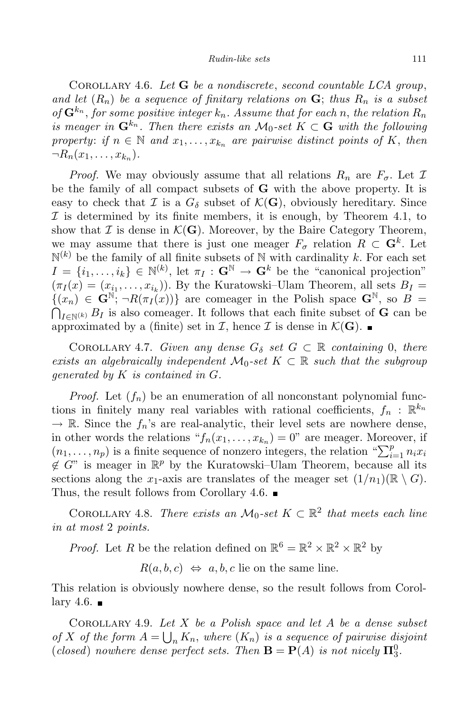Corollary 4.6. *Let* **G** *be a nondiscrete*, *second countable LCA group*, *and let*  $(R_n)$  *be a sequence of finitary relations on*  $\mathbf{G}$ ; *thus*  $R_n$  *is a subset*  $\int$  *of*  $\mathbf{G}^{k_n}$ , *for some positive integer*  $k_n$ *. Assume that for each n, the relation*  $R_n$ *is* meager in  $\mathbf{G}^{k_n}$ . Then there exists an  $\mathcal{M}_0$ -set  $K \subset \mathbf{G}$  with the following property: if  $n \in \mathbb{N}$  and  $x_1, \ldots, x_{k_n}$  are pairwise distinct points of K, then  $\neg R_n(x_1, \ldots, x_{k_n}).$ 

*Proof.* We may obviously assume that all relations  $R_n$  are  $F_{\sigma}$ . Let  $\mathcal{I}$ be the family of all compact subsets of **G** with the above property. It is easy to check that *I* is a  $G_{\delta}$  subset of  $\mathcal{K}(\mathbf{G})$ , obviously hereditary. Since *I* is determined by its finite members, it is enough, by Theorem 4.1, to show that  $\mathcal I$  is dense in  $\mathcal K(\mathbf G)$ . Moreover, by the Baire Category Theorem, we may assume that there is just one meager  $F_{\sigma}$  relation  $R \subset \mathbf{G}^k$ . Let  $\mathbb{N}^{(k)}$  be the family of all finite subsets of  $\mathbb N$  with cardinality *k*. For each set  $I = \{i_1, \ldots, i_k\} \in \mathbb{N}^{(k)}$ , let  $\pi_I : \mathbf{G}^{\mathbb{N}} \to \mathbf{G}^k$  be the "canonical projection"  $(\pi_I(x) = (x_{i_1}, \ldots, x_{i_k}))$ . By the Kuratowski–Ulam Theorem, all sets  $B_I =$  $\{(x_n) \in \mathbf{G}^{\mathbb{N}}; \neg R(\pi_I(x))\}$  are comeager in the Polish space  $\mathbf{G}^{\mathbb{N}}$ , so  $B =$  $\bigcap_{I \in \mathbb{N}^{(k)}} B_I$  is also comeager. It follows that each finite subset of **G** can be approximated by a (finite) set in *I*, hence *I* is dense in  $K(G)$ .

COROLLARY 4.7. *Given any dense*  $G_{\delta}$  *set*  $G \subset \mathbb{R}$  *containing* 0, *there exists* an algebraically independent  $\mathcal{M}_0$ -set  $K \subset \mathbb{R}$  such that the subgroup *generated by K is contained in G.*

*Proof.* Let  $(f_n)$  be an enumeration of all nonconstant polynomial functions in finitely many real variables with rational coefficients,  $f_n$ :  $\mathbb{R}^{k_n}$  $\rightarrow \mathbb{R}$ . Since the  $f_n$ 's are real-analytic, their level sets are nowhere dense, in other words the relations " $f_n(x_1, \ldots, x_{k_n}) = 0$ " are meager. Moreover, if  $(n_1, \ldots, n_p)$  is a finite sequence of nonzero integers, the relation " $\sum_{i=1}^p n_i x_i$  $\notin G$ " is meager in  $\mathbb{R}^p$  by the Kuratowski–Ulam Theorem, because all its sections along the *x*<sub>1</sub>-axis are translates of the meager set  $(1/n_1)(\mathbb{R}\setminus G)$ . Thus, the result follows from Corollary 4.6.

COROLLARY 4.8. *There exists an*  $\mathcal{M}_0$ -set  $K \subset \mathbb{R}^2$  that meets each line *in at most* 2 *points.*

*Proof.* Let *R* be the relation defined on  $\mathbb{R}^6 = \mathbb{R}^2 \times \mathbb{R}^2 \times \mathbb{R}^2$  by

 $R(a, b, c) \Leftrightarrow a, b, c$  lie on the same line.

This relation is obviously nowhere dense, so the result follows from Corollary 4.6.  $\blacksquare$ 

Corollary 4.9. *Let X be a Polish space and let A be a dense subset of X of* the form  $A = \bigcup_n K_n$ , where  $(K_n)$  *is a sequence of pairwise disjoint* (*closed*) *nowhere dense perfect sets. Then*  $\mathbf{B} = \mathbf{P}(A)$  *is not nicely*  $\mathbf{\Pi}^0_3$ *.*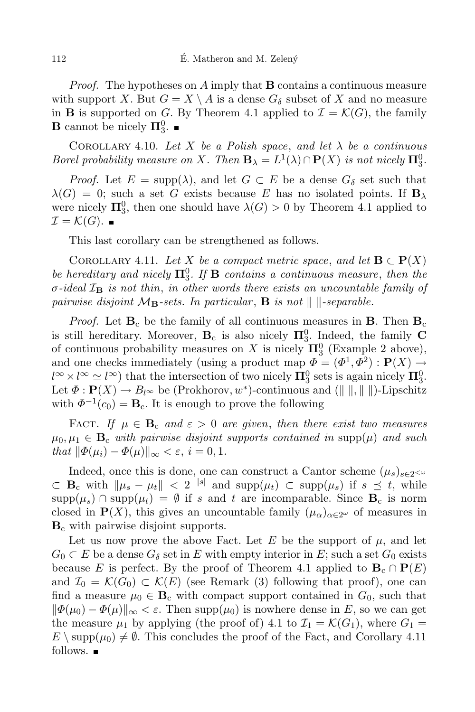*Proof.* The hypotheses on *A* imply that **B** contains a continuous measure with support *X*. But  $G = X \setminus A$  is a dense  $G_{\delta}$  subset of *X* and no measure in **B** is supported on *G*. By Theorem 4.1 applied to  $\mathcal{I} = \mathcal{K}(G)$ , the family **B** cannot be nicely  $\Pi_3^0$ .

COROLLARY 4.10. Let X be a Polish space, and let  $\lambda$  be a continuous *Borel probability measure on X. Then*  $\mathbf{B}_{\lambda} = L^1(\lambda) \cap \mathbf{P}(X)$  *is not nicely*  $\mathbf{\Pi}^0_3$ *.* 

*Proof.* Let  $E = \text{supp}(\lambda)$ , and let  $G \subset E$  be a dense  $G_{\delta}$  set such that  $\lambda(G) = 0$ ; such a set *G* exists because *E* has no isolated points. If  $\mathbf{B}_{\lambda}$ were nicely  $\Pi_3^0$ , then one should have  $\lambda(G) > 0$  by Theorem 4.1 applied to  $\mathcal{I} = \mathcal{K}(G)$ .

This last corollary can be strengthened as follows.

COROLLARY 4.11. Let *X* be a compact metric space, and let  $\mathbf{B} \subset \mathbf{P}(X)$ *be hereditary* and *nicely*  $\Pi_3^0$ *. If* **B** *contains a continuous measure*, *then the σ-ideal I***<sup>B</sup>** *is not thin*, *in other words there exists an uncountable family of pairwise* disjoint  $M_B$ -sets. In particular, **B** is not  $\|$   $\|$ -separable.

*Proof.* Let  $\mathbf{B}_c$  be the family of all continuous measures in **B**. Then  $\mathbf{B}_c$ is still hereditary. Moreover,  $\mathbf{B}_c$  is also nicely  $\Pi_3^0$ . Indeed, the family **C** of continuous probability measures on *X* is nicely  $\Pi_3^0$  (Example 2 above), and one checks immediately (using a product map  $\Phi = (\Phi^1, \Phi^2) : \mathbf{P}(X) \to$  $l^{\infty} \times l^{\infty} \simeq l^{\infty}$ ) that the intersection of two nicely  $\mathbf{\Pi}^0_3$  sets is again nicely  $\mathbf{\Pi}^0_3$ . Let  $\Phi: \mathbf{P}(X) \to B_{l^{\infty}}$  be (Prokhorov,  $w^*$ )-continuous and ( $\| \|\|$ ,  $\| \|\|$ )-Lipschitz with  $\Phi^{-1}(c_0) = \mathbf{B}_c$ . It is enough to prove the following

FACT. *If*  $\mu \in \mathbf{B}_c$  *and*  $\varepsilon > 0$  *are given, then there exist two measures*  $\mu_0, \mu_1 \in \mathbf{B}_c$  *with pairwise disjoint supports contained in*  $\text{supp}(\mu)$  *and such*  $that$   $\|\Phi(\mu_i) - \Phi(\mu)\|_{\infty} < \varepsilon, i = 0, 1.$ 

Indeed, once this is done, one can construct a Cantor scheme  $(\mu_s)_{s \in 2}$  $\subset$  **B**<sub>c</sub> with  $\|\mu_s - \mu_t\|$   $\leq 2^{-|s|}$  and supp $(\mu_t)$   $\subset$  supp $(\mu_s)$  if  $s \preceq t$ , while supp $(\mu_s)$   $\cap$  supp $(\mu_t) = \emptyset$  if *s* and *t* are incomparable. Since **B**<sub>c</sub> is norm closed in  $P(X)$ , this gives an uncountable family  $(\mu_{\alpha})_{\alpha \in 2^{\omega}}$  of measures in **B**<sup>c</sup> with pairwise disjoint supports.

Let us now prove the above Fact. Let  $E$  be the support of  $\mu$ , and let  $G_0 \subset E$  be a dense  $G_\delta$  set in *E* with empty interior in *E*; such a set  $G_0$  exists because *E* is perfect. By the proof of Theorem 4.1 applied to  $\mathbf{B}_c \cap \mathbf{P}(E)$ and  $\mathcal{I}_0 = \mathcal{K}(G_0) \subset \mathcal{K}(E)$  (see Remark (3) following that proof), one can find a measure  $\mu_0 \in \mathbf{B}_c$  with compact support contained in  $G_0$ , such that  $\|\Phi(\mu_0) - \Phi(\mu)\|_{\infty} < \varepsilon$ . Then supp $(\mu_0)$  is nowhere dense in *E*, so we can get the measure  $\mu_1$  by applying (the proof of) 4.1 to  $\mathcal{I}_1 = \mathcal{K}(G_1)$ , where  $G_1 =$  $E \setminus \text{supp}(\mu_0) \neq \emptyset$ . This concludes the proof of the Fact, and Corollary 4.11 follows.  $\blacksquare$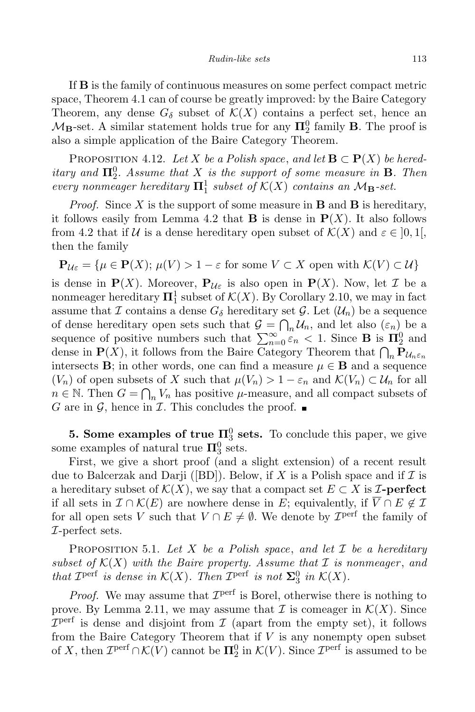If **B** is the family of continuous measures on some perfect compact metric space, Theorem 4.1 can of course be greatly improved: by the Baire Category Theorem, any dense  $G_{\delta}$  subset of  $\mathcal{K}(X)$  contains a perfect set, hence an  $M_{\mathbf{B}}$ -set. A similar statement holds true for any  $\Pi_2^0$  family **B**. The proof is also a simple application of the Baire Category Theorem.

PROPOSITION 4.12. Let *X* be a Polish space, and let  $\mathbf{B} \subset \mathbf{P}(X)$  be hered*itary and*  $\Pi_2^0$ *. Assume that*  $X$  *is the support of some measure in* **B***. Then every nonmeager hereditary*  $\Pi_1^1$  *subset of*  $K(X)$  *contains an*  $M_B$ *-set.* 

*Proof.* Since *X* is the support of some measure in **B** and **B** is hereditary, it follows easily from Lemma 4.2 that **B** is dense in  $P(X)$ . It also follows from 4.2 that if *U* is a dense hereditary open subset of  $K(X)$  and  $\varepsilon \in ]0,1[$ , then the family

$$
\mathbf{P}_{\mathcal{U}\varepsilon} = \{ \mu \in \mathbf{P}(X); \, \mu(V) > 1 - \varepsilon \text{ for some } V \subset X \text{ open with } \mathcal{K}(V) \subset \mathcal{U} \}
$$

is dense in  $P(X)$ . Moreover,  $P_{\mathcal{U}\varepsilon}$  is also open in  $P(X)$ . Now, let *I* be a nonmeager hereditary  $\Pi_1^1$  subset of  $\mathcal{K}(X)$ . By Corollary 2.10, we may in fact assume that *I* contains a dense  $G_{\delta}$  hereditary set *G*. Let  $(\mathcal{U}_n)$  be a sequence of dense hereditary open sets such that  $\mathcal{G} = \bigcap_n \mathcal{U}_n$ , and let also  $(\varepsilon_n)$  be a sequence of positive numbers such that  $\sum_{n=0}^{\infty} \varepsilon_n < 1$ . Since **B** is  $\Pi_2^0$  and dense in  $\mathbf{P}(X)$ , it follows from the Baire Category Theorem that  $\bigcap_n \mathbf{P}_{\mathcal{U}_n \varepsilon_n}$ intersects **B**; in other words, one can find a measure  $\mu \in \mathbf{B}$  and a sequence (*V<sub>n</sub>*) of open subsets of *X* such that  $\mu(V_n) > 1 - \varepsilon_n$  and  $\mathcal{K}(V_n) \subset \mathcal{U}_n$  for all  $n \in \mathbb{N}$ . Then  $G = \bigcap_n V_n$  has positive *µ*-measure, and all compact subsets of *G* are in *G*, hence in *I*. This concludes the proof.  $\blacksquare$ 

**5.** Some examples of true  $\Pi_3^0$  sets. To conclude this paper, we give some examples of natural true  $\Pi_3^0$  sets.

First, we give a short proof (and a slight extension) of a recent result due to Balcerzak and Darji ([BD]). Below, if X is a Polish space and if  $\mathcal I$  is a hereditary subset of  $\mathcal{K}(X)$ , we say that a compact set  $E \subset X$  is *I***-perfect** if all sets in  $\mathcal{I} \cap \mathcal{K}(E)$  are nowhere dense in *E*; equivalently, if  $\overline{V} \cap E \notin \mathcal{I}$ for all open sets *V* such that  $V \cap E \neq \emptyset$ . We denote by  $\mathcal{I}^{\text{perf}}$  the family of *I*-perfect sets.

Proposition 5.1. *Let X be a Polish space*, *and let I be a hereditary subset* of  $K(X)$  *with the Baire property. Assume that*  $I$  *is nonmeager, and that*  $\mathcal{I}^{\text{perf}}$  *is dense in*  $\mathcal{K}(X)$ *. Then*  $\mathcal{I}^{\text{perf}}$  *is not*  $\Sigma_3^0$  *in*  $\mathcal{K}(X)$ *.* 

*Proof.* We may assume that  $\mathcal{I}^{\text{perf}}$  is Borel, otherwise there is nothing to prove. By Lemma 2.11, we may assume that  $\mathcal I$  is comeager in  $\mathcal K(X)$ . Since  $I<sup>perf</sup>$  is dense and disjoint from *I* (apart from the empty set), it follows from the Baire Category Theorem that if *V* is any nonempty open subset of *X*, then  $\mathcal{I}^{\text{perf}} \cap \mathcal{K}(V)$  cannot be  $\Pi^0_2$  in  $\mathcal{K}(V)$ . Since  $\mathcal{I}^{\text{perf}}$  is assumed to be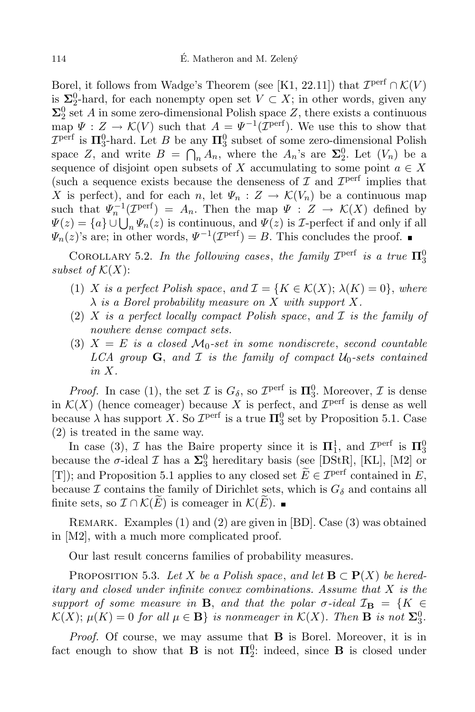Borel, it follows from Wadge's Theorem (see [K1, 22.11]) that  $\mathcal{I}^{\text{perf}} \cap \mathcal{K}(V)$ is  $\Sigma_2^0$ -hard, for each nonempty open set  $V \subset X$ ; in other words, given any  $\Sigma^0_2$  set *A* in some zero-dimensional Polish space *Z*, there exists a continuous  $\text{map } \Psi : Z \to \mathcal{K}(V) \text{ such that } A = \Psi^{-1}(\mathcal{I}^{\text{perf}}).$  We use this to show that  $\mathcal{I}^{\text{perf}}$  is  $\Pi_3^0$ -hard. Let *B* be any  $\Pi_3^0$  subset of some zero-dimensional Polish space *Z*, and write  $B = \bigcap_n A_n$ , where the  $A_n$ 's are  $\Sigma_2^0$ . Let  $(V_n)$  be a sequence of disjoint open subsets of *X* accumulating to some point  $a \in X$ (such a sequence exists because the denseness of  $\mathcal I$  and  $\mathcal I^{\text{perf}}$  implies that *X* is perfect), and for each *n*, let  $\Psi_n$  :  $Z \to \mathcal{K}(V_n)$  be a continuous map such that  $\Psi_n^{-1}(\mathcal{I}^{\text{perf}}) = A_n$ . Then the map  $\Psi : Z \to \mathcal{K}(X)$  defined by  $\Psi(z) = \{a\} \cup \bigcup_n \Psi_n(z)$  is continuous, and  $\Psi(z)$  is *I*-perfect if and only if all  $\Psi_n(z)$ 's are; in other words,  $\Psi^{-1}(\mathcal{I}^{\text{perf}}) = B$ . This concludes the proof.

COROLLARY 5.2. In the following cases, the family  $\mathcal{I}^{\text{perf}}$  is a true  $\Pi_3^0$ *subset of*  $K(X)$ :

- (1) *X is a perfect Polish space*, and  $\mathcal{I} = \{K \in \mathcal{K}(X); \lambda(K) = 0\}$ , where *λ is a Borel probability measure on X with support X.*
- (2) *X is a perfect locally compact Polish space*, *and I is the family of nowhere dense compact sets.*
- (3)  $X = E$  *is a closed*  $\mathcal{M}_0$ -set *in some nondiscrete*, *second countable LCA group* **G**, and *I is* the *family* of *compact*  $U_0$ -sets *contained in X.*

*Proof.* In case (1), the set *I* is  $G_{\delta}$ , so  $\mathcal{I}^{\text{perf}}$  is  $\Pi_3^0$ . Moreover, *I* is dense in  $\mathcal{K}(X)$  (hence comeager) because *X* is perfect, and  $\mathcal{I}^{\text{perf}}$  is dense as well because  $\lambda$  has support *X*. So  $\mathcal{I}^{\text{perf}}$  is a true  $\Pi_3^0$  set by Proposition 5.1. Case (2) is treated in the same way.

In case (3), *I* has the Baire property since it is  $\Pi_1^1$ , and  $\mathcal{I}^{\text{perf}}$  is  $\Pi_3^0$ because the  $\sigma$ -ideal *I* has a  $\Sigma_3^0$  hereditary basis (see [DStR], [KL], [M2] or [T]); and Proposition 5.1 applies to any closed set  $\widetilde{E} \in \mathcal{I}^{\text{perf}}$  contained in  $E$ , because  $\mathcal I$  contains the family of Dirichlet sets, which is  $G_\delta$  and contains all finite sets, so  $\mathcal{I} \cap \mathcal{K}(E)$  is comeager in  $\mathcal{K}(E)$ . ■

Remark. Examples (1) and (2) are given in [BD]. Case (3) was obtained in [M2], with a much more complicated proof.

Our last result concerns families of probability measures.

PROPOSITION 5.3. Let *X* be a Polish space, and let  $\mathbf{B} \subset \mathbf{P}(X)$  be hered*itary and closed under infinite convex combinations. Assume that X is the support of some measure in* **B**, *and that the polar*  $\sigma$ *-ideal*  $\mathcal{I}_{\mathbf{B}} = \{K \in$  $\mathcal{K}(X)$ ;  $\mu(K) = 0$  for all  $\mu \in \mathbf{B}$  is nonmeager in  $\mathcal{K}(X)$ . Then **B** is not  $\Sigma_3^0$ .

*Proof.* Of course, we may assume that **B** is Borel. Moreover, it is in fact enough to show that **B** is not  $\Pi_2^0$ : indeed, since **B** is closed under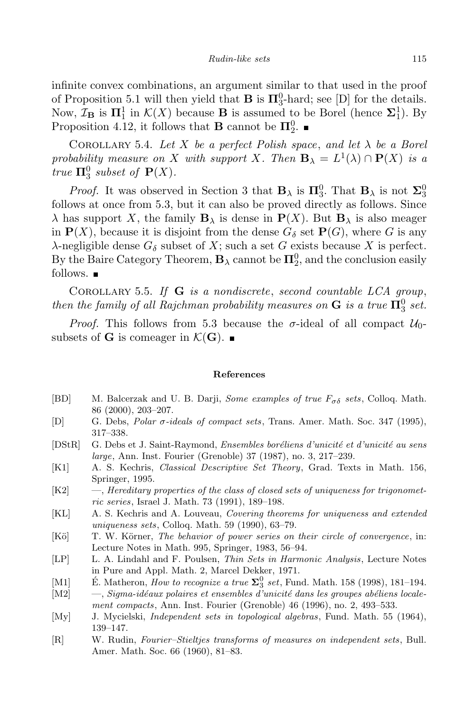infinite convex combinations, an argument similar to that used in the proof of Proposition 5.1 will then yield that **B** is  $\Pi_3^0$ -hard; see [D] for the details. Now,  $\mathcal{I}_B$  is  $\Pi_1^1$  in  $\mathcal{K}(X)$  because **B** is assumed to be Borel (hence  $\Sigma_1^1$ ). By Proposition 4.12, it follows that **B** cannot be  $\Pi_2^0$ .

COROLLARY 5.4. Let *X* be a perfect Polish space, and let  $\lambda$  be a Borel *probability measure on X with support X. Then*  $\mathbf{B}_{\lambda} = L^1(\lambda) \cap \mathbf{P}(X)$  *is a true*  $\Pi_3^0$  *subset of*  $P(X)$ *.* 

*Proof.* It was observed in Section 3 that **B**<sub> $\lambda$ </sub> is  $\Pi_3^0$ . That **B**<sub> $\lambda$ </sub> is not  $\Sigma_3^0$ follows at once from 5.3, but it can also be proved directly as follows. Since *λ* has support *X*, the family **B**<sub>*λ*</sub> is dense in **P**(*X*). But **B**<sub>*λ*</sub> is also meager in  $P(X)$ , because it is disjoint from the dense  $G_{\delta}$  set  $P(G)$ , where *G* is any *λ*-negligible dense  $G_δ$  subset of *X*; such a set *G* exists because *X* is perfect. By the Baire Category Theorem,  $\mathbf{B}_{\lambda}$  cannot be  $\mathbf{\Pi}^0_2$ , and the conclusion easily follows.  $\blacksquare$ 

Corollary 5.5. *If* **G** *is a nondiscrete*, *second countable LCA group*, *then the family of all Rajchman probability measures on*  $G$  *is a true*  $\Pi_3^0$  *set.* 

*Proof.* This follows from 5.3 because the *σ*-ideal of all compact  $U_0$ subsets of **G** is comeager in  $\mathcal{K}(\mathbf{G})$ .

#### **References**

- [BD] M. Balcerzak and U. B. Darji, *Some examples of true Fσδ sets*, Colloq. Math. 86 (2000), 203–207.
- [D] G. Debs, *Polar σ-ideals of compact sets*, Trans. Amer. Math. Soc. 347 (1995), 317–338.
- $[DStR]$  G. Debs et J. Saint-Raymond, *Ensembles boréliens d'unicité et d'unicité au sens large*, Ann. Inst. Fourier (Grenoble) 37 (1987), no. 3, 217–239.
- [K1] A. S. Kechris, *Classical Descriptive Set Theory*, Grad. Texts in Math. 156, Springer, 1995.
- [K2] —, *Hereditary properties of the class of closed sets of uniqueness for trigonometric series*, Israel J. Math. 73 (1991), 189–198.
- [KL] A. S. Kechris and A. Louveau, *Covering theorems for uniqueness and extended uniqueness sets*, Colloq. Math. 59 (1990), 63–79.
- [K¨o] T. W. K¨orner, *The behavior of power series on their circle of convergence*, in: Lecture Notes in Math. 995, Springer, 1983, 56–94.
- [LP] L. A. Lindahl and F. Poulsen, *Thin Sets in Harmonic Analysis*, Lecture Notes in Pure and Appl. Math. 2, Marcel Dekker, 1971.
- [M1] E. Matheron, *How to recognize a true*  $\Sigma_3^0$  *set*, Fund. Math. 158 (1998), 181–194.
- [M2]  $-$ , *Sigma-idéaux polaires et ensembles d'unicité dans les groupes abéliens localement compacts*, Ann. Inst. Fourier (Grenoble) 46 (1996), no. 2, 493–533.
- [My] J. Mycielski, *Independent sets in topological algebras*, Fund. Math. 55 (1964), 139–147.
- [R] W. Rudin, *Fourier–Stieltjes transforms of measures on independent sets*, Bull. Amer. Math. Soc. 66 (1960), 81–83.